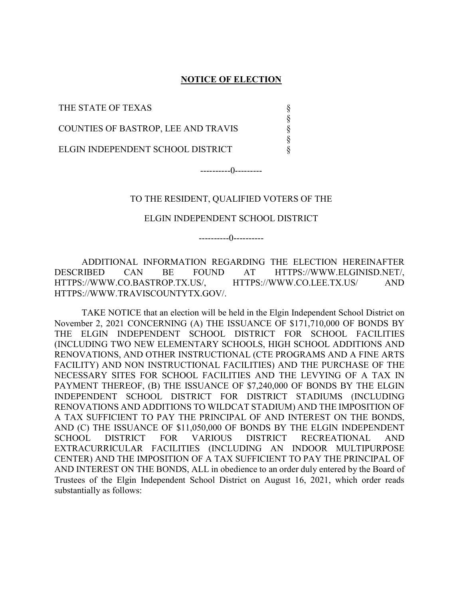#### NOTICE OF ELECTION

§ § § § §

THE STATE OF TEXAS

COUNTIES OF BASTROP, LEE AND TRAVIS

ELGIN INDEPENDENT SCHOOL DISTRICT

----------0---------

#### TO THE RESIDENT, QUALIFIED VOTERS OF THE

#### ELGIN INDEPENDENT SCHOOL DISTRICT

----------0----------

 ADDITIONAL INFORMATION REGARDING THE ELECTION HEREINAFTER DESCRIBED CAN BE FOUND AT HTTPS://WWW.ELGINISD.NET/, HTTPS://WWW.CO.BASTROP.TX.US/, HTTPS://WWW.CO.LEE.TX.US/ AND HTTPS://WWW.TRAVISCOUNTYTX.GOV/.

 TAKE NOTICE that an election will be held in the Elgin Independent School District on November 2, 2021 CONCERNING (A) THE ISSUANCE OF \$171,710,000 OF BONDS BY THE ELGIN INDEPENDENT SCHOOL DISTRICT FOR SCHOOL FACILITIES (INCLUDING TWO NEW ELEMENTARY SCHOOLS, HIGH SCHOOL ADDITIONS AND RENOVATIONS, AND OTHER INSTRUCTIONAL (CTE PROGRAMS AND A FINE ARTS FACILITY) AND NON INSTRUCTIONAL FACILITIES) AND THE PURCHASE OF THE NECESSARY SITES FOR SCHOOL FACILITIES AND THE LEVYING OF A TAX IN PAYMENT THEREOF, (B) THE ISSUANCE OF \$7,240,000 OF BONDS BY THE ELGIN INDEPENDENT SCHOOL DISTRICT FOR DISTRICT STADIUMS (INCLUDING RENOVATIONS AND ADDITIONS TO WILDCAT STADIUM) AND THE IMPOSITION OF A TAX SUFFICIENT TO PAY THE PRINCIPAL OF AND INTEREST ON THE BONDS, AND (C) THE ISSUANCE OF \$11,050,000 OF BONDS BY THE ELGIN INDEPENDENT SCHOOL DISTRICT FOR VARIOUS DISTRICT RECREATIONAL AND EXTRACURRICULAR FACILITIES (INCLUDING AN INDOOR MULTIPURPOSE CENTER) AND THE IMPOSITION OF A TAX SUFFICIENT TO PAY THE PRINCIPAL OF AND INTEREST ON THE BONDS, ALL in obedience to an order duly entered by the Board of Trustees of the Elgin Independent School District on August 16, 2021, which order reads substantially as follows: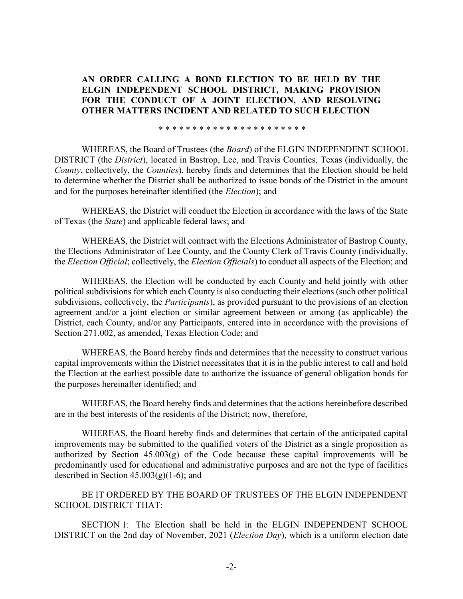## AN ORDER CALLING A BOND ELECTION TO BE HELD BY THE ELGIN INDEPENDENT SCHOOL DISTRICT, MAKING PROVISION FOR THE CONDUCT OF A JOINT ELECTION, AND RESOLVING OTHER MATTERS INCIDENT AND RELATED TO SUCH ELECTION

\* \* \* \* \* \* \* \* \* \* \* \* \* \* \* \* \* \* \* \* \* \*

WHEREAS, the Board of Trustees (the *Board*) of the ELGIN INDEPENDENT SCHOOL DISTRICT (the District), located in Bastrop, Lee, and Travis Counties, Texas (individually, the County, collectively, the Counties), hereby finds and determines that the Election should be held to determine whether the District shall be authorized to issue bonds of the District in the amount and for the purposes hereinafter identified (the Election); and

WHEREAS, the District will conduct the Election in accordance with the laws of the State of Texas (the State) and applicable federal laws; and

WHEREAS, the District will contract with the Elections Administrator of Bastrop County, the Elections Administrator of Lee County, and the County Clerk of Travis County (individually, the Election Official; collectively, the Election Officials) to conduct all aspects of the Election; and

WHEREAS, the Election will be conducted by each County and held jointly with other political subdivisions for which each County is also conducting their elections (such other political subdivisions, collectively, the *Participants*), as provided pursuant to the provisions of an election agreement and/or a joint election or similar agreement between or among (as applicable) the District, each County, and/or any Participants, entered into in accordance with the provisions of Section 271.002, as amended, Texas Election Code; and

WHEREAS, the Board hereby finds and determines that the necessity to construct various capital improvements within the District necessitates that it is in the public interest to call and hold the Election at the earliest possible date to authorize the issuance of general obligation bonds for the purposes hereinafter identified; and

WHEREAS, the Board hereby finds and determines that the actions hereinbefore described are in the best interests of the residents of the District; now, therefore,

WHEREAS, the Board hereby finds and determines that certain of the anticipated capital improvements may be submitted to the qualified voters of the District as a single proposition as authorized by Section  $45.003(g)$  of the Code because these capital improvements will be predominantly used for educational and administrative purposes and are not the type of facilities described in Section  $45.003(g)(1-6)$ ; and

BE IT ORDERED BY THE BOARD OF TRUSTEES OF THE ELGIN INDEPENDENT SCHOOL DISTRICT THAT:

SECTION 1: The Election shall be held in the ELGIN INDEPENDENT SCHOOL DISTRICT on the 2nd day of November, 2021 (*Election Day*), which is a uniform election date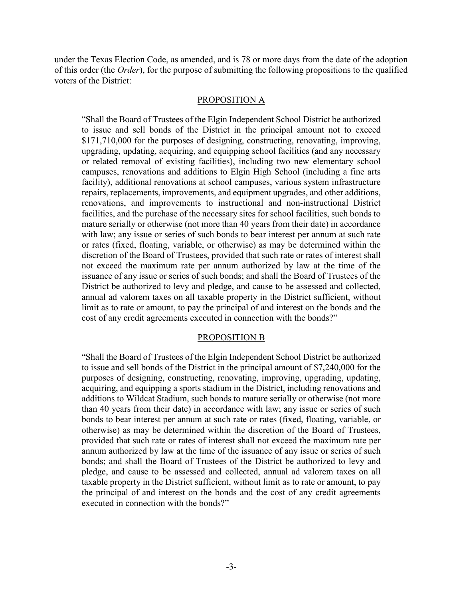under the Texas Election Code, as amended, and is 78 or more days from the date of the adoption of this order (the Order), for the purpose of submitting the following propositions to the qualified voters of the District:

#### PROPOSITION A

"Shall the Board of Trustees of the Elgin Independent School District be authorized to issue and sell bonds of the District in the principal amount not to exceed \$171,710,000 for the purposes of designing, constructing, renovating, improving, upgrading, updating, acquiring, and equipping school facilities (and any necessary or related removal of existing facilities), including two new elementary school campuses, renovations and additions to Elgin High School (including a fine arts facility), additional renovations at school campuses, various system infrastructure repairs, replacements, improvements, and equipment upgrades, and other additions, renovations, and improvements to instructional and non-instructional District facilities, and the purchase of the necessary sites for school facilities, such bonds to mature serially or otherwise (not more than 40 years from their date) in accordance with law; any issue or series of such bonds to bear interest per annum at such rate or rates (fixed, floating, variable, or otherwise) as may be determined within the discretion of the Board of Trustees, provided that such rate or rates of interest shall not exceed the maximum rate per annum authorized by law at the time of the issuance of any issue or series of such bonds; and shall the Board of Trustees of the District be authorized to levy and pledge, and cause to be assessed and collected, annual ad valorem taxes on all taxable property in the District sufficient, without limit as to rate or amount, to pay the principal of and interest on the bonds and the cost of any credit agreements executed in connection with the bonds?"

#### PROPOSITION B

"Shall the Board of Trustees of the Elgin Independent School District be authorized to issue and sell bonds of the District in the principal amount of \$7,240,000 for the purposes of designing, constructing, renovating, improving, upgrading, updating, acquiring, and equipping a sports stadium in the District, including renovations and additions to Wildcat Stadium, such bonds to mature serially or otherwise (not more than 40 years from their date) in accordance with law; any issue or series of such bonds to bear interest per annum at such rate or rates (fixed, floating, variable, or otherwise) as may be determined within the discretion of the Board of Trustees, provided that such rate or rates of interest shall not exceed the maximum rate per annum authorized by law at the time of the issuance of any issue or series of such bonds; and shall the Board of Trustees of the District be authorized to levy and pledge, and cause to be assessed and collected, annual ad valorem taxes on all taxable property in the District sufficient, without limit as to rate or amount, to pay the principal of and interest on the bonds and the cost of any credit agreements executed in connection with the bonds?"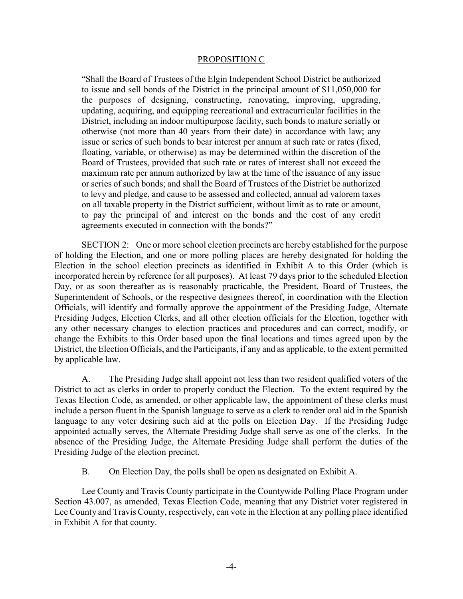#### PROPOSITION C

"Shall the Board of Trustees of the Elgin Independent School District be authorized to issue and sell bonds of the District in the principal amount of \$11,050,000 for the purposes of designing, constructing, renovating, improving, upgrading, updating, acquiring, and equipping recreational and extracurricular facilities in the District, including an indoor multipurpose facility, such bonds to mature serially or otherwise (not more than 40 years from their date) in accordance with law; any issue or series of such bonds to bear interest per annum at such rate or rates (fixed, floating, variable, or otherwise) as may be determined within the discretion of the Board of Trustees, provided that such rate or rates of interest shall not exceed the maximum rate per annum authorized by law at the time of the issuance of any issue or series of such bonds; and shall the Board of Trustees of the District be authorized to levy and pledge, and cause to be assessed and collected, annual ad valorem taxes on all taxable property in the District sufficient, without limit as to rate or amount, to pay the principal of and interest on the bonds and the cost of any credit agreements executed in connection with the bonds?"

SECTION 2: One or more school election precincts are hereby established for the purpose of holding the Election, and one or more polling places are hereby designated for holding the Election in the school election precincts as identified in Exhibit A to this Order (which is incorporated herein by reference for all purposes). At least 79 days prior to the scheduled Election Day, or as soon thereafter as is reasonably practicable, the President, Board of Trustees, the Superintendent of Schools, or the respective designees thereof, in coordination with the Election Officials, will identify and formally approve the appointment of the Presiding Judge, Alternate Presiding Judges, Election Clerks, and all other election officials for the Election, together with any other necessary changes to election practices and procedures and can correct, modify, or change the Exhibits to this Order based upon the final locations and times agreed upon by the District, the Election Officials, and the Participants, if any and as applicable, to the extent permitted by applicable law.

A. The Presiding Judge shall appoint not less than two resident qualified voters of the District to act as clerks in order to properly conduct the Election. To the extent required by the Texas Election Code, as amended, or other applicable law, the appointment of these clerks must include a person fluent in the Spanish language to serve as a clerk to render oral aid in the Spanish language to any voter desiring such aid at the polls on Election Day. If the Presiding Judge appointed actually serves, the Alternate Presiding Judge shall serve as one of the clerks. In the absence of the Presiding Judge, the Alternate Presiding Judge shall perform the duties of the Presiding Judge of the election precinct.

B. On Election Day, the polls shall be open as designated on Exhibit A.

Lee County and Travis County participate in the Countywide Polling Place Program under Section 43.007, as amended, Texas Election Code, meaning that any District voter registered in Lee County and Travis County, respectively, can vote in the Election at any polling place identified in Exhibit A for that county.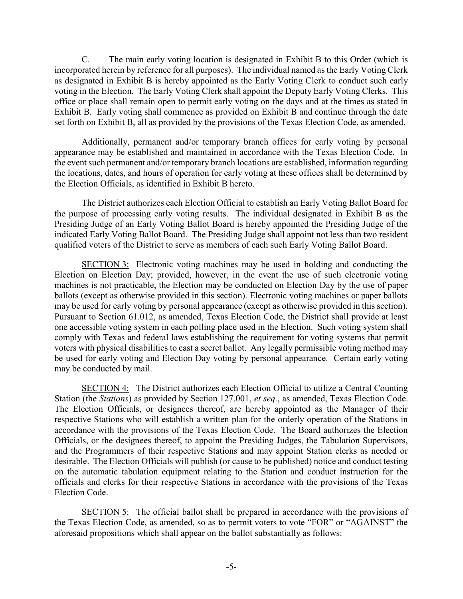C. The main early voting location is designated in Exhibit B to this Order (which is incorporated herein by reference for all purposes). The individual named as the Early Voting Clerk as designated in Exhibit B is hereby appointed as the Early Voting Clerk to conduct such early voting in the Election. The Early Voting Clerk shall appoint the Deputy Early Voting Clerks. This office or place shall remain open to permit early voting on the days and at the times as stated in Exhibit B. Early voting shall commence as provided on Exhibit B and continue through the date set forth on Exhibit B, all as provided by the provisions of the Texas Election Code, as amended.

Additionally, permanent and/or temporary branch offices for early voting by personal appearance may be established and maintained in accordance with the Texas Election Code. In the event such permanent and/or temporary branch locations are established, information regarding the locations, dates, and hours of operation for early voting at these offices shall be determined by the Election Officials, as identified in Exhibit B hereto.

The District authorizes each Election Official to establish an Early Voting Ballot Board for the purpose of processing early voting results. The individual designated in Exhibit B as the Presiding Judge of an Early Voting Ballot Board is hereby appointed the Presiding Judge of the indicated Early Voting Ballot Board. The Presiding Judge shall appoint not less than two resident qualified voters of the District to serve as members of each such Early Voting Ballot Board.

SECTION 3: Electronic voting machines may be used in holding and conducting the Election on Election Day; provided, however, in the event the use of such electronic voting machines is not practicable, the Election may be conducted on Election Day by the use of paper ballots (except as otherwise provided in this section). Electronic voting machines or paper ballots may be used for early voting by personal appearance (except as otherwise provided in this section). Pursuant to Section 61.012, as amended, Texas Election Code, the District shall provide at least one accessible voting system in each polling place used in the Election. Such voting system shall comply with Texas and federal laws establishing the requirement for voting systems that permit voters with physical disabilities to cast a secret ballot. Any legally permissible voting method may be used for early voting and Election Day voting by personal appearance. Certain early voting may be conducted by mail.

SECTION 4: The District authorizes each Election Official to utilize a Central Counting Station (the Stations) as provided by Section 127.001, et seq., as amended, Texas Election Code. The Election Officials, or designees thereof, are hereby appointed as the Manager of their respective Stations who will establish a written plan for the orderly operation of the Stations in accordance with the provisions of the Texas Election Code. The Board authorizes the Election Officials, or the designees thereof, to appoint the Presiding Judges, the Tabulation Supervisors, and the Programmers of their respective Stations and may appoint Station clerks as needed or desirable. The Election Officials will publish (or cause to be published) notice and conduct testing on the automatic tabulation equipment relating to the Station and conduct instruction for the officials and clerks for their respective Stations in accordance with the provisions of the Texas Election Code.

SECTION 5: The official ballot shall be prepared in accordance with the provisions of the Texas Election Code, as amended, so as to permit voters to vote "FOR" or "AGAINST" the aforesaid propositions which shall appear on the ballot substantially as follows: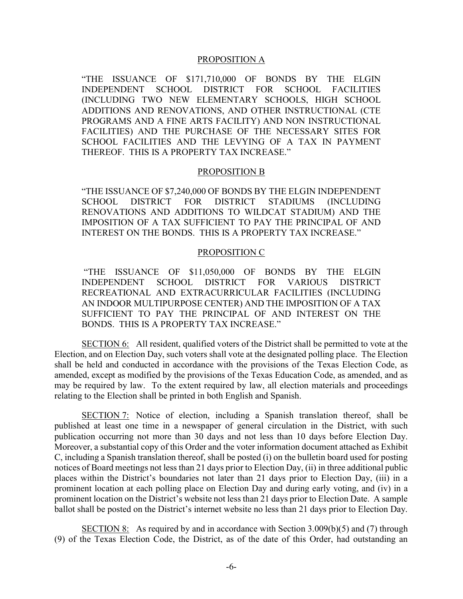#### PROPOSITION A

"THE ISSUANCE OF \$171,710,000 OF BONDS BY THE ELGIN INDEPENDENT SCHOOL DISTRICT FOR SCHOOL FACILITIES (INCLUDING TWO NEW ELEMENTARY SCHOOLS, HIGH SCHOOL ADDITIONS AND RENOVATIONS, AND OTHER INSTRUCTIONAL (CTE PROGRAMS AND A FINE ARTS FACILITY) AND NON INSTRUCTIONAL FACILITIES) AND THE PURCHASE OF THE NECESSARY SITES FOR SCHOOL FACILITIES AND THE LEVYING OF A TAX IN PAYMENT THEREOF. THIS IS A PROPERTY TAX INCREASE."

#### PROPOSITION B

"THE ISSUANCE OF \$7,240,000 OF BONDS BY THE ELGIN INDEPENDENT SCHOOL DISTRICT FOR DISTRICT STADIUMS (INCLUDING RENOVATIONS AND ADDITIONS TO WILDCAT STADIUM) AND THE IMPOSITION OF A TAX SUFFICIENT TO PAY THE PRINCIPAL OF AND INTEREST ON THE BONDS. THIS IS A PROPERTY TAX INCREASE."

#### PROPOSITION C

 "THE ISSUANCE OF \$11,050,000 OF BONDS BY THE ELGIN INDEPENDENT SCHOOL DISTRICT FOR VARIOUS DISTRICT RECREATIONAL AND EXTRACURRICULAR FACILITIES (INCLUDING AN INDOOR MULTIPURPOSE CENTER) AND THE IMPOSITION OF A TAX SUFFICIENT TO PAY THE PRINCIPAL OF AND INTEREST ON THE BONDS. THIS IS A PROPERTY TAX INCREASE."

SECTION 6: All resident, qualified voters of the District shall be permitted to vote at the Election, and on Election Day, such voters shall vote at the designated polling place. The Election shall be held and conducted in accordance with the provisions of the Texas Election Code, as amended, except as modified by the provisions of the Texas Education Code, as amended, and as may be required by law. To the extent required by law, all election materials and proceedings relating to the Election shall be printed in both English and Spanish.

SECTION 7: Notice of election, including a Spanish translation thereof, shall be published at least one time in a newspaper of general circulation in the District, with such publication occurring not more than 30 days and not less than 10 days before Election Day. Moreover, a substantial copy of this Order and the voter information document attached as Exhibit C, including a Spanish translation thereof, shall be posted (i) on the bulletin board used for posting notices of Board meetings not less than 21 days prior to Election Day, (ii) in three additional public places within the District's boundaries not later than 21 days prior to Election Day, (iii) in a prominent location at each polling place on Election Day and during early voting, and (iv) in a prominent location on the District's website not less than 21 days prior to Election Date. A sample ballot shall be posted on the District's internet website no less than 21 days prior to Election Day.

SECTION 8: As required by and in accordance with Section  $3.009(b)(5)$  and (7) through (9) of the Texas Election Code, the District, as of the date of this Order, had outstanding an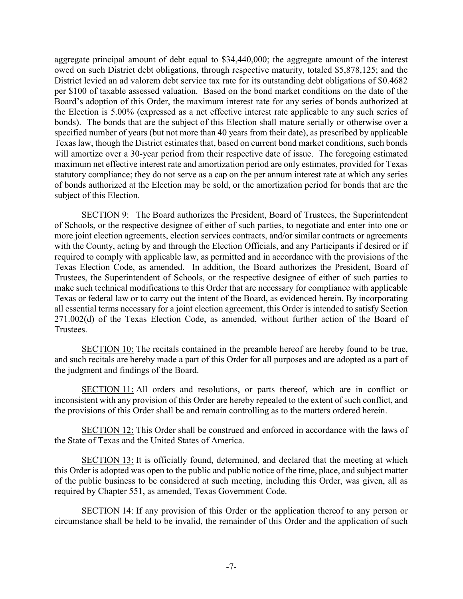aggregate principal amount of debt equal to \$34,440,000; the aggregate amount of the interest owed on such District debt obligations, through respective maturity, totaled \$5,878,125; and the District levied an ad valorem debt service tax rate for its outstanding debt obligations of \$0.4682 per \$100 of taxable assessed valuation. Based on the bond market conditions on the date of the Board's adoption of this Order, the maximum interest rate for any series of bonds authorized at the Election is 5.00% (expressed as a net effective interest rate applicable to any such series of bonds). The bonds that are the subject of this Election shall mature serially or otherwise over a specified number of years (but not more than 40 years from their date), as prescribed by applicable Texas law, though the District estimates that, based on current bond market conditions, such bonds will amortize over a 30-year period from their respective date of issue. The foregoing estimated maximum net effective interest rate and amortization period are only estimates, provided for Texas statutory compliance; they do not serve as a cap on the per annum interest rate at which any series of bonds authorized at the Election may be sold, or the amortization period for bonds that are the subject of this Election.

SECTION 9: The Board authorizes the President, Board of Trustees, the Superintendent of Schools, or the respective designee of either of such parties, to negotiate and enter into one or more joint election agreements, election services contracts, and/or similar contracts or agreements with the County, acting by and through the Election Officials, and any Participants if desired or if required to comply with applicable law, as permitted and in accordance with the provisions of the Texas Election Code, as amended. In addition, the Board authorizes the President, Board of Trustees, the Superintendent of Schools, or the respective designee of either of such parties to make such technical modifications to this Order that are necessary for compliance with applicable Texas or federal law or to carry out the intent of the Board, as evidenced herein. By incorporating all essential terms necessary for a joint election agreement, this Order is intended to satisfy Section 271.002(d) of the Texas Election Code, as amended, without further action of the Board of Trustees.

SECTION 10: The recitals contained in the preamble hereof are hereby found to be true, and such recitals are hereby made a part of this Order for all purposes and are adopted as a part of the judgment and findings of the Board.

SECTION 11: All orders and resolutions, or parts thereof, which are in conflict or inconsistent with any provision of this Order are hereby repealed to the extent of such conflict, and the provisions of this Order shall be and remain controlling as to the matters ordered herein.

SECTION 12: This Order shall be construed and enforced in accordance with the laws of the State of Texas and the United States of America.

SECTION 13: It is officially found, determined, and declared that the meeting at which this Order is adopted was open to the public and public notice of the time, place, and subject matter of the public business to be considered at such meeting, including this Order, was given, all as required by Chapter 551, as amended, Texas Government Code.

SECTION 14: If any provision of this Order or the application thereof to any person or circumstance shall be held to be invalid, the remainder of this Order and the application of such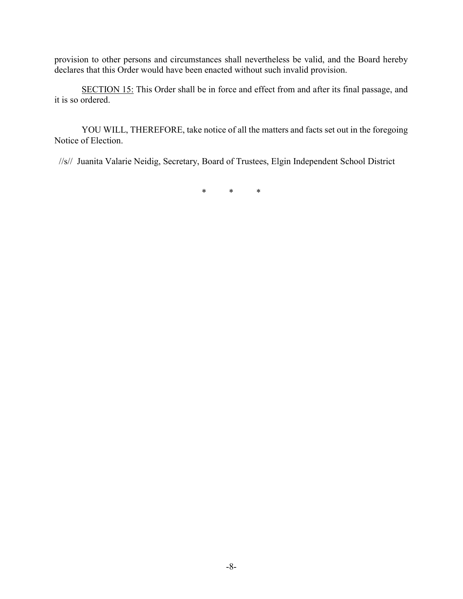provision to other persons and circumstances shall nevertheless be valid, and the Board hereby declares that this Order would have been enacted without such invalid provision.

SECTION 15: This Order shall be in force and effect from and after its final passage, and it is so ordered.

 YOU WILL, THEREFORE, take notice of all the matters and facts set out in the foregoing Notice of Election.

//s// Juanita Valarie Neidig, Secretary, Board of Trustees, Elgin Independent School District

\* \* \*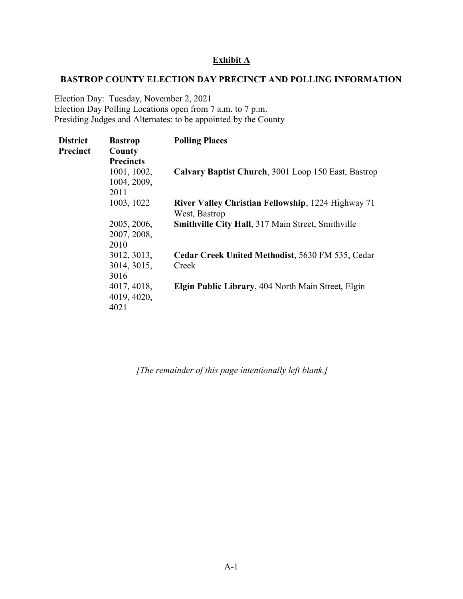## Exhibit A

#### BASTROP COUNTY ELECTION DAY PRECINCT AND POLLING INFORMATION

Election Day: Tuesday, November 2, 2021 Election Day Polling Locations open from 7 a.m. to 7 p.m. Presiding Judges and Alternates: to be appointed by the County

| <b>District</b> | <b>Bastrop</b>   | <b>Polling Places</b>                                     |
|-----------------|------------------|-----------------------------------------------------------|
| Precinct        | County           |                                                           |
|                 | <b>Precincts</b> |                                                           |
|                 | 1001, 1002,      | Calvary Baptist Church, 3001 Loop 150 East, Bastrop       |
|                 | 1004, 2009,      |                                                           |
|                 | 2011             |                                                           |
|                 | 1003, 1022       | River Valley Christian Fellowship, 1224 Highway 71        |
|                 |                  | West, Bastrop                                             |
|                 | 2005, 2006,      | <b>Smithville City Hall, 317 Main Street, Smithville</b>  |
|                 | 2007, 2008,      |                                                           |
|                 | 2010             |                                                           |
|                 | 3012, 3013,      | Cedar Creek United Methodist, 5630 FM 535, Cedar          |
|                 | 3014, 3015,      | Creek                                                     |
|                 | 3016             |                                                           |
|                 | 4017, 4018,      | <b>Elgin Public Library, 404 North Main Street, Elgin</b> |
|                 | 4019, 4020,      |                                                           |
|                 | 4021             |                                                           |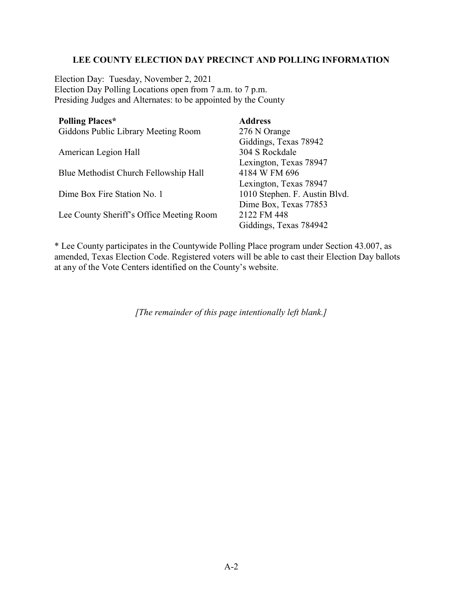## LEE COUNTY ELECTION DAY PRECINCT AND POLLING INFORMATION

Election Day: Tuesday, November 2, 2021 Election Day Polling Locations open from 7 a.m. to 7 p.m. Presiding Judges and Alternates: to be appointed by the County

| <b>Polling Places*</b>                   | <b>Address</b>                |
|------------------------------------------|-------------------------------|
| Giddons Public Library Meeting Room      | 276 N Orange                  |
|                                          | Giddings, Texas 78942         |
| American Legion Hall                     | 304 S Rockdale                |
|                                          | Lexington, Texas 78947        |
| Blue Methodist Church Fellowship Hall    | 4184 W FM 696                 |
|                                          | Lexington, Texas 78947        |
| Dime Box Fire Station No. 1              | 1010 Stephen. F. Austin Blvd. |
|                                          | Dime Box, Texas 77853         |
| Lee County Sheriff's Office Meeting Room | 2122 FM 448                   |
|                                          | Giddings, Texas 784942        |

\* Lee County participates in the Countywide Polling Place program under Section 43.007, as amended, Texas Election Code. Registered voters will be able to cast their Election Day ballots at any of the Vote Centers identified on the County's website.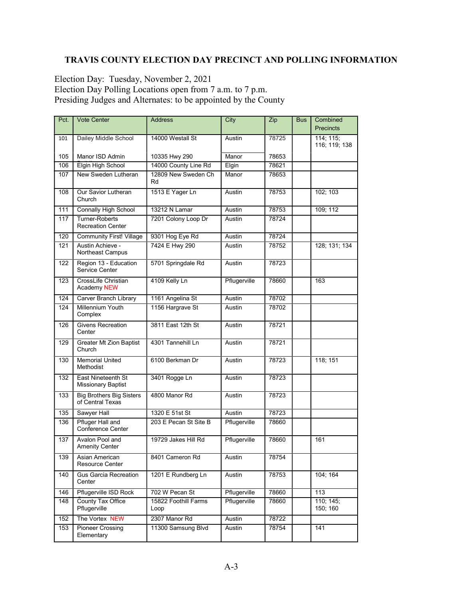# TRAVIS COUNTY ELECTION DAY PRECINCT AND POLLING INFORMATION

Election Day: Tuesday, November 2, 2021 Election Day Polling Locations open from 7 a.m. to 7 p.m. Presiding Judges and Alternates: to be appointed by the County

| Pct. | <b>Vote Center</b>                                  | <b>Address</b>               | City         | Zip   | <b>Bus</b> | Combined                   |
|------|-----------------------------------------------------|------------------------------|--------------|-------|------------|----------------------------|
|      |                                                     |                              |              |       |            | <b>Precincts</b>           |
| 101  | Dailey Middle School                                | 14000 Westall St             | Austin       | 78725 |            | 114; 115;<br>116; 119; 138 |
| 105  | Manor ISD Admin                                     | 10335 Hwy 290                | Manor        | 78653 |            |                            |
| 106  | Elgin High School                                   | 14000 County Line Rd         | Elgin        | 78621 |            |                            |
| 107  | New Sweden Lutheran                                 | 12809 New Sweden Ch<br>Rd    | Manor        | 78653 |            |                            |
| 108  | Our Savior Lutheran<br>Church                       | 1513 E Yager Ln              | Austin       | 78753 |            | 102; 103                   |
| 111  | <b>Connally High School</b>                         | 13212 N Lamar                | Austin       | 78753 |            | 109; 112                   |
| 117  | <b>Turner-Roberts</b><br><b>Recreation Center</b>   | 7201 Colony Loop Dr          | Austin       | 78724 |            |                            |
| 120  | <b>Community First! Village</b>                     | 9301 Hog Eye Rd              | Austin       | 78724 |            |                            |
| 121  | Austin Achieve -<br>Northeast Campus                | 7424 E Hwy 290               | Austin       | 78752 |            | 128; 131; 134              |
| 122  | Region 13 - Education<br>Service Center             | 5701 Springdale Rd           | Austin       | 78723 |            |                            |
| 123  | CrossLife Christian<br>Academy NEW                  | 4109 Kelly Ln                | Pflugerville | 78660 |            | 163                        |
| 124  | Carver Branch Library                               | 1161 Angelina St             | Austin       | 78702 |            |                            |
| 124  | <b>Millennium Youth</b><br>Complex                  | 1156 Hargrave St             | Austin       | 78702 |            |                            |
| 126  | <b>Givens Recreation</b><br>Center                  | 3811 East 12th St            | Austin       | 78721 |            |                            |
| 129  | Greater Mt Zion Baptist<br>Church                   | 4301 Tannehill Ln            | Austin       | 78721 |            |                            |
| 130  | <b>Memorial United</b><br>Methodist                 | 6100 Berkman Dr              | Austin       | 78723 |            | 118; 151                   |
| 132  | East Nineteenth St<br><b>Missionary Baptist</b>     | 3401 Rogge Ln                | Austin       | 78723 |            |                            |
| 133  | <b>Big Brothers Big Sisters</b><br>of Central Texas | 4800 Manor Rd                | Austin       | 78723 |            |                            |
| 135  | Sawyer Hall                                         | 1320 E 51st St               | Austin       | 78723 |            |                            |
| 136  | <b>Pfluger Hall and</b><br>Conference Center        | 203 E Pecan St Site B        | Pflugerville | 78660 |            |                            |
| 137  | Avalon Pool and<br><b>Amenity Center</b>            | 19729 Jakes Hill Rd          | Pflugerville | 78660 |            | 161                        |
| 139  | Asian American<br>Resource Center                   | 8401 Cameron Rd              | Austin       | 78754 |            |                            |
| 140  | <b>Gus Garcia Recreation</b><br>Center              | 1201 E Rundberg Ln           | Austin       | 78753 |            | 104; 164                   |
| 146  | Pflugerville ISD Rock                               | 702 W Pecan St               | Pflugerville | 78660 |            | 113                        |
| 148  | County Tax Office<br>Pflugerville                   | 15822 Foothill Farms<br>Loop | Pflugerville | 78660 |            | 110; 145;<br>150; 160      |
| 152  | The Vortex NEW                                      | 2307 Manor Rd                | Austin       | 78722 |            |                            |
| 153  | Pioneer Crossing<br>Elementary                      | 11300 Samsung Blvd           | Austin       | 78754 |            | 141                        |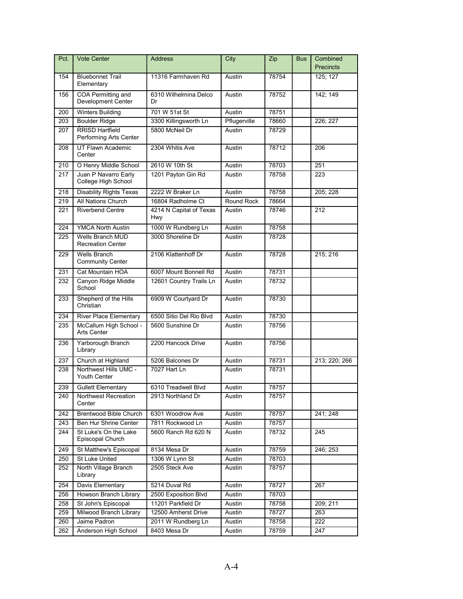| Pct. | <b>Vote Center</b>                               | <b>Address</b>                 | City         | Zip   | <b>Bus</b> | Combined<br><b>Precincts</b> |
|------|--------------------------------------------------|--------------------------------|--------------|-------|------------|------------------------------|
| 154  | <b>Bluebonnet Trail</b><br>Elementary            | 11316 Farmhaven Rd             | Austin       | 78754 |            | 125; 127                     |
| 156  | COA Permitting and<br><b>Development Center</b>  | 6310 Wilhelmina Delco<br>Dr    | Austin       | 78752 |            | 142; 149                     |
| 200  | <b>Winters Building</b>                          | 701 W 51st St                  | Austin       | 78751 |            |                              |
| 203  | <b>Boulder Ridge</b>                             | 3300 Killingsworth Ln          | Pflugerville | 78660 |            | 226; 227                     |
| 207  | <b>RRISD Hartfield</b><br>Performing Arts Center | 5800 McNeil Dr                 | Austin       | 78729 |            |                              |
| 208  | UT Flawn Academic<br>Center                      | 2304 Whitis Ave                | Austin       | 78712 |            | 206                          |
| 210  | O Henry Middle School                            | 2610 W 10th St                 | Austin       | 78703 |            | 251                          |
| 217  | Juan P Navarro Early<br>College High School      | 1201 Payton Gin Rd             | Austin       | 78758 |            | 223                          |
| 218  | <b>Disability Rights Texas</b>                   | 2222 W Braker Ln               | Austin       | 78758 |            | 205; 228                     |
| 219  | All Nations Church                               | 16804 Radholme Ct              | Round Rock   | 78664 |            |                              |
| 221  | Riverbend Centre                                 | 4214 N Capital of Texas<br>Hwy | Austin       | 78746 |            | 212                          |
| 224  | <b>YMCA North Austin</b>                         | 1000 W Rundberg Ln             | Austin       | 78758 |            |                              |
| 225  | Wells Branch MUD<br><b>Recreation Center</b>     | 3000 Shoreline Dr              | Austin       | 78728 |            |                              |
| 229  | <b>Wells Branch</b><br><b>Community Center</b>   | 2106 Klattenhoff Dr            | Austin       | 78728 |            | 215; 216                     |
| 231  | Cat Mountain HOA                                 | 6007 Mount Bonnell Rd          | Austin       | 78731 |            |                              |
| 232  | Canyon Ridge Middle<br>School                    | 12601 Country Trails Ln        | Austin       | 78732 |            |                              |
| 233  | Shepherd of the Hills<br>Christian               | 6909 W Courtyard Dr            | Austin       | 78730 |            |                              |
| 234  | <b>River Place Elementary</b>                    | 6500 Sitio Del Rio Blvd        | Austin       | 78730 |            |                              |
| 235  | McCallum High School -<br><b>Arts Center</b>     | 5600 Sunshine Dr               | Austin       | 78756 |            |                              |
| 236  | Yarborough Branch<br>Library                     | 2200 Hancock Drive             | Austin       | 78756 |            |                              |
| 237  | Church at Highland                               | 5206 Balcones Dr               | Austin       | 78731 |            | 213; 220; 266                |
| 238  | Northwest Hills UMC -<br><b>Youth Center</b>     | 7027 Hart Ln                   | Austin       | 78731 |            |                              |
| 239  | <b>Gullett Elementary</b>                        | 6310 Treadwell Blvd            | Austin       | 78757 |            |                              |
| 240  | Northwest Recreation<br>Center                   | 2913 Northland Dr              | Austin       | 78757 |            |                              |
| 242  | Brentwood Bible Church                           | 6301 Woodrow Ave               | Austin       | 78757 |            | 241, 248                     |
| 243  | Ben Hur Shrine Center                            | 7811 Rockwood Ln               | Austin       | 78757 |            |                              |
| 244  | St Luke's On the Lake<br>Episcopal Church        | 5600 Ranch Rd 620 N            | Austin       | 78732 |            | 245                          |
| 249  | St Matthew's Episcopal                           | 8134 Mesa Dr                   | Austin       | 78759 |            | 246; 253                     |
| 250  | St Luke United                                   | 1306 W Lynn St                 | Austin       | 78703 |            |                              |
| 252  | North Village Branch<br>Library                  | 2505 Steck Ave                 | Austin       | 78757 |            |                              |
| 254  | Davis Elementary                                 | 5214 Duval Rd                  | Austin       | 78727 |            | 267                          |
| 256  | Howson Branch Library                            | 2500 Exposition Blvd           | Austin       | 78703 |            |                              |
| 258  | St John's Episcopal                              | 11201 Parkfield Dr             | Austin       | 78758 |            | 209; 211                     |
| 259  | Milwood Branch Library                           | 12500 Amherst Drive            | Austin       | 78727 |            | 263                          |
| 260  | Jaime Padron                                     | 2011 W Rundberg Ln             | Austin       | 78758 |            | 222                          |
| 262  | Anderson High School                             | 8403 Mesa Dr                   | Austin       | 78759 |            | 247                          |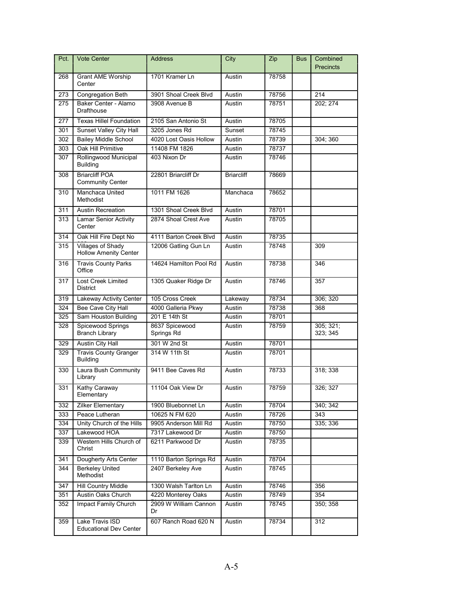| Pct. | <b>Vote Center</b>                                | <b>Address</b>               | City              | Zip   | <b>Bus</b> | Combined<br><b>Precincts</b> |
|------|---------------------------------------------------|------------------------------|-------------------|-------|------------|------------------------------|
| 268  | <b>Grant AME Worship</b><br>Center                | 1701 Kramer Ln               | Austin            | 78758 |            |                              |
| 273  | <b>Congregation Beth</b>                          | 3901 Shoal Creek Blvd        | Austin            | 78756 |            | 214                          |
| 275  | Baker Center - Alamo<br>Drafthouse                | 3908 Avenue B                | Austin            | 78751 |            | 202; 274                     |
| 277  | <b>Texas Hillel Foundation</b>                    | 2105 San Antonio St          | Austin            | 78705 |            |                              |
| 301  | Sunset Valley City Hall                           | 3205 Jones Rd                | Sunset            | 78745 |            |                              |
| 302  | <b>Bailey Middle School</b>                       | 4020 Lost Oasis Hollow       | Austin            | 78739 |            | 304;360                      |
| 303  | Oak Hill Primitive                                | 11408 FM 1826                | Austin            | 78737 |            |                              |
| 307  | Rollingwood Municipal<br><b>Building</b>          | 403 Nixon Dr                 | Austin            | 78746 |            |                              |
| 308  | <b>Briarcliff POA</b><br><b>Community Center</b>  | 22801 Briarcliff Dr          | <b>Briarcliff</b> | 78669 |            |                              |
| 310  | Manchaca United<br>Methodist                      | 1011 FM 1626                 | Manchaca          | 78652 |            |                              |
| 311  | <b>Austin Recreation</b>                          | 1301 Shoal Creek Blvd        | Austin            | 78701 |            |                              |
| 313  | <b>Lamar Senior Activity</b><br>Center            | 2874 Shoal Crest Ave         | Austin            | 78705 |            |                              |
| 314  | Oak Hill Fire Dept No                             | 4111 Barton Creek Blvd       | Austin            | 78735 |            |                              |
| 315  | Villages of Shady<br><b>Hollow Amenity Center</b> | 12006 Gatling Gun Ln         | Austin            | 78748 |            | 309                          |
| 316  | <b>Travis County Parks</b><br>Office              | 14624 Hamilton Pool Rd       | Austin            | 78738 |            | 346                          |
| 317  | <b>Lost Creek Limited</b><br><b>District</b>      | 1305 Quaker Ridge Dr         | Austin            | 78746 |            | 357                          |
| 319  | Lakeway Activity Center                           | 105 Cross Creek              | Lakeway           | 78734 |            | 306; 320                     |
| 324  | <b>Bee Cave City Hall</b>                         | 4000 Galleria Pkwy           | Austin            | 78738 |            | 368                          |
| 325  | Sam Houston Building                              | 201 E 14th St                | Austin            | 78701 |            |                              |
| 328  | Spicewood Springs<br><b>Branch Library</b>        | 8637 Spicewood<br>Springs Rd | Austin            | 78759 |            | 305; 321;<br>323; 345        |
| 329  | Austin City Hall                                  | 301 W 2nd St                 | Austin            | 78701 |            |                              |
| 329  | <b>Travis County Granger</b><br><b>Building</b>   | 314 W 11th St                | Austin            | 78701 |            |                              |
| 330  | Laura Bush Community<br>Library                   | 9411 Bee Caves Rd            | Austin            | 78733 |            | 318; 338                     |
| 331  | Kathy Caraway<br>Elementary                       | 11104 Oak View Dr            | Austin            | 78759 |            | 326; 327                     |
| 332  | <b>Zilker Elementary</b>                          | 1900 Bluebonnet Ln           | Austin            | 78704 |            | 340; 342                     |
| 333  | Peace Lutheran                                    | 10625 N FM 620               | Austin            | 78726 |            | 343                          |
| 334  | Unity Church of the Hills                         | 9905 Anderson Mill Rd        | Austin            | 78750 |            | 335; 336                     |
| 337  | Lakewood HOA                                      | 7317 Lakewood Dr             | Austin            | 78750 |            |                              |
| 339  | Western Hills Church of<br>Christ                 | 6211 Parkwood Dr             | Austin            | 78735 |            |                              |
| 341  | Dougherty Arts Center                             | 1110 Barton Springs Rd       | Austin            | 78704 |            |                              |
| 344  | <b>Berkeley United</b><br>Methodist               | 2407 Berkeley Ave            | Austin            | 78745 |            |                              |
| 347  | Hill Country Middle                               | 1300 Walsh Tarlton Ln        | Austin            | 78746 |            | 356                          |
| 351  | Austin Oaks Church                                | 4220 Monterey Oaks           | Austin            | 78749 |            | 354                          |
| 352  | Impact Family Church                              | 2909 W William Cannon<br>Dr  | Austin            | 78745 |            | 350; 358                     |
| 359  | Lake Travis ISD<br><b>Educational Dev Center</b>  | 607 Ranch Road 620 N         | Austin            | 78734 |            | 312                          |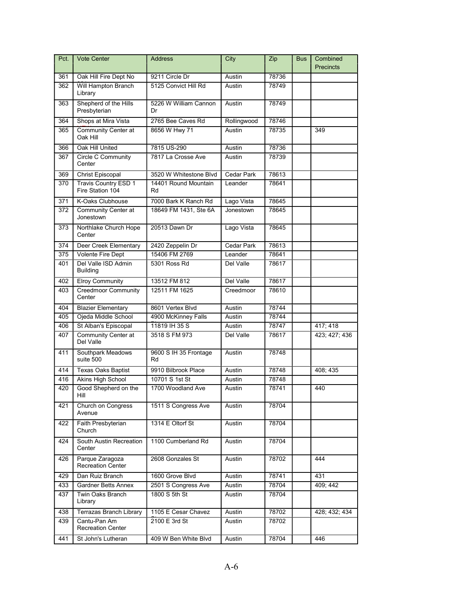| Pct. | Vote Center                                 | <b>Address</b>              | City              | Zip   | <b>Bus</b> | Combined         |
|------|---------------------------------------------|-----------------------------|-------------------|-------|------------|------------------|
|      |                                             |                             |                   |       |            | <b>Precincts</b> |
| 361  | Oak Hill Fire Dept No                       | 9211 Circle Dr              | Austin            | 78736 |            |                  |
| 362  | Will Hampton Branch<br>Library              | 5125 Convict Hill Rd        | Austin            | 78749 |            |                  |
| 363  | Shepherd of the Hills<br>Presbyterian       | 5226 W William Cannon<br>Dr | Austin            | 78749 |            |                  |
| 364  | Shops at Mira Vista                         | 2765 Bee Caves Rd           | Rollingwood       | 78746 |            |                  |
| 365  | Community Center at<br>Oak Hill             | 8656 W Hwy 71               | Austin            | 78735 |            | 349              |
| 366  | Oak Hill United                             | 7815 US-290                 | Austin            | 78736 |            |                  |
| 367  | Circle C Community<br>Center                | 7817 La Crosse Ave          | Austin            | 78739 |            |                  |
| 369  | <b>Christ Episcopal</b>                     | 3520 W Whitestone Blvd      | <b>Cedar Park</b> | 78613 |            |                  |
| 370  | Travis Country ESD 1<br>Fire Station 104    | 14401 Round Mountain<br>Rd  | Leander           | 78641 |            |                  |
| 371  | K-Oaks Clubhouse                            | 7000 Bark K Ranch Rd        | Lago Vista        | 78645 |            |                  |
| 372  | Community Center at<br>Jonestown            | 18649 FM 1431, Ste 6A       | Jonestown         | 78645 |            |                  |
| 373  | Northlake Church Hope<br>Center             | 20513 Dawn Dr               | Lago Vista        | 78645 |            |                  |
| 374  | Deer Creek Elementary                       | 2420 Zeppelin Dr            | <b>Cedar Park</b> | 78613 |            |                  |
| 375  | Volente Fire Dept                           | 15406 FM 2769               | Leander           | 78641 |            |                  |
| 401  | Del Valle ISD Admin<br><b>Building</b>      | 5301 Ross Rd                | Del Valle         | 78617 |            |                  |
| 402  | <b>Elroy Community</b>                      | 13512 FM 812                | Del Valle         | 78617 |            |                  |
| 403  | <b>Creedmoor Community</b><br>Center        | 12511 FM 1625               | Creedmoor         | 78610 |            |                  |
| 404  | <b>Blazier Elementary</b>                   | 8601 Vertex Blvd            | Austin            | 78744 |            |                  |
| 405  | Ojeda Middle School                         | 4900 McKinney Falls         | Austin            | 78744 |            |                  |
| 406  | St Alban's Episcopal                        | 11819 IH 35 S               | Austin            | 78747 |            | 417; 418         |
| 407  | Community Center at<br>Del Valle            | 3518 S FM 973               | Del Valle         | 78617 |            | 423; 427; 436    |
| 411  | Southpark Meadows<br>suite 500              | 9600 S IH 35 Frontage<br>Rd | Austin            | 78748 |            |                  |
| 414  | <b>Texas Oaks Baptist</b>                   | 9910 Bilbrook Place         | Austin            | 78748 |            | 408; 435         |
| 416  | Akins High School                           | 10701 S 1st St              | Austin            | 78748 |            |                  |
| 420  | Good Shepherd on the<br>Hill                | 1700 Woodland Ave           | Austin            | 78741 |            | 440              |
| 421  | Church on Congress<br>Avenue                | 1511 S Congress Ave         | Austin            | 78704 |            |                  |
| 422  | Faith Presbyterian<br>Church                | 1314 E Oltorf St            | Austin            | 78704 |            |                  |
| 424  | South Austin Recreation<br>Center           | 1100 Cumberland Rd          | Austin            | 78704 |            |                  |
| 426  | Parque Zaragoza<br><b>Recreation Center</b> | 2608 Gonzales St            | Austin            | 78702 |            | 444              |
| 429  | Dan Ruiz Branch                             | 1600 Grove Blvd             | Austin            | 78741 |            | 431              |
| 433  | Gardner Betts Annex                         | 2501 S Congress Ave         | Austin            | 78704 |            | 409; 442         |
| 437  | Twin Oaks Branch<br>Library                 | 1800 S 5th St               | Austin            | 78704 |            |                  |
| 438  | Terrazas Branch Library                     | 1105 E Cesar Chavez         | Austin            | 78702 |            | 428; 432; 434    |
| 439  | Cantu-Pan Am<br><b>Recreation Center</b>    | 2100 E 3rd St               | Austin            | 78702 |            |                  |
| 441  | St John's Lutheran                          | 409 W Ben White Blvd        | Austin            | 78704 |            | 446              |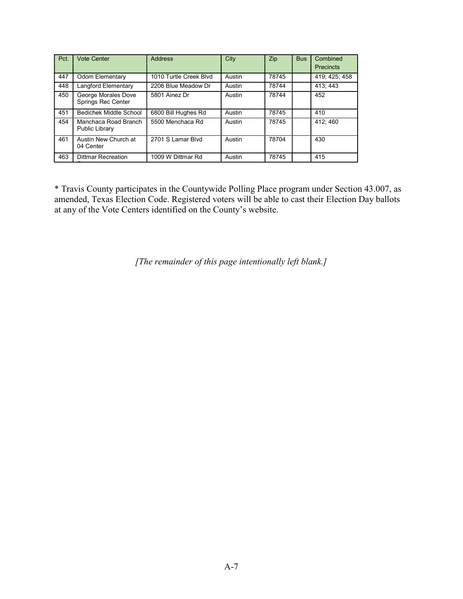| Pct. | <b>Vote Center</b>                        | <b>Address</b>         | City   | Zip   | <b>Bus</b> | Combined<br><b>Precincts</b> |
|------|-------------------------------------------|------------------------|--------|-------|------------|------------------------------|
| 447  | <b>Odom Elementary</b>                    | 1010 Turtle Creek Blvd | Austin | 78745 |            | 419; 425; 458                |
| 448  | Langford Elementary                       | 2206 Blue Meadow Dr    | Austin | 78744 |            | 413:443                      |
| 450  | George Morales Dove<br>Springs Rec Center | 5801 Ainez Dr          | Austin | 78744 |            | 452                          |
| 451  | Bedichek Middle School                    | 6800 Bill Hughes Rd    | Austin | 78745 |            | 410                          |
| 454  | Manchaca Road Branch<br>Public Library    | 5500 Menchaca Rd       | Austin | 78745 |            | 412:460                      |
| 461  | Austin New Church at<br>04 Center         | 2701 S Lamar Blvd      | Austin | 78704 |            | 430                          |
| 463  | <b>Dittmar Recreation</b>                 | 1009 W Dittmar Rd      | Austin | 78745 |            | 415                          |

\* Travis County participates in the Countywide Polling Place program under Section 43.007, as amended, Texas Election Code. Registered voters will be able to cast their Election Day ballots at any of the Vote Centers identified on the County's website.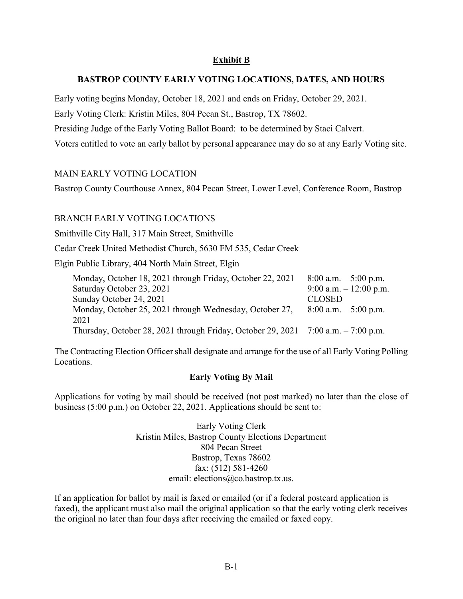## Exhibit B

#### BASTROP COUNTY EARLY VOTING LOCATIONS, DATES, AND HOURS

Early voting begins Monday, October 18, 2021 and ends on Friday, October 29, 2021. Early Voting Clerk: Kristin Miles, 804 Pecan St., Bastrop, TX 78602. Presiding Judge of the Early Voting Ballot Board: to be determined by Staci Calvert. Voters entitled to vote an early ballot by personal appearance may do so at any Early Voting site.

#### MAIN EARLY VOTING LOCATION

Bastrop County Courthouse Annex, 804 Pecan Street, Lower Level, Conference Room, Bastrop

### BRANCH EARLY VOTING LOCATIONS

Smithville City Hall, 317 Main Street, Smithville

Cedar Creek United Methodist Church, 5630 FM 535, Cedar Creek

Elgin Public Library, 404 North Main Street, Elgin

| Monday, October 18, 2021 through Friday, October 22, 2021                         | $8:00$ a.m. $-5:00$ p.m. |
|-----------------------------------------------------------------------------------|--------------------------|
| Saturday October 23, 2021                                                         | 9:00 a.m. $-12:00$ p.m.  |
| Sunday October 24, 2021                                                           | <b>CLOSED</b>            |
| Monday, October 25, 2021 through Wednesday, October 27,                           | $8:00$ a.m. $-5:00$ p.m. |
| 2021                                                                              |                          |
| Thursday, October 28, 2021 through Friday, October 29, 2021 7:00 a.m. - 7:00 p.m. |                          |

The Contracting Election Officer shall designate and arrange for the use of all Early Voting Polling Locations.

#### Early Voting By Mail

Applications for voting by mail should be received (not post marked) no later than the close of business (5:00 p.m.) on October 22, 2021. Applications should be sent to:

> Early Voting Clerk Kristin Miles, Bastrop County Elections Department 804 Pecan Street Bastrop, Texas 78602 fax: (512) 581-4260 email: elections@co.bastrop.tx.us.

If an application for ballot by mail is faxed or emailed (or if a federal postcard application is faxed), the applicant must also mail the original application so that the early voting clerk receives the original no later than four days after receiving the emailed or faxed copy.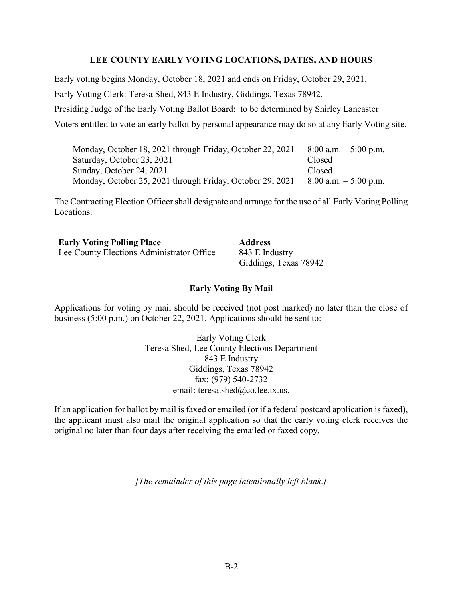#### LEE COUNTY EARLY VOTING LOCATIONS, DATES, AND HOURS

Early voting begins Monday, October 18, 2021 and ends on Friday, October 29, 2021.

Early Voting Clerk: Teresa Shed, 843 E Industry, Giddings, Texas 78942.

Presiding Judge of the Early Voting Ballot Board: to be determined by Shirley Lancaster

Voters entitled to vote an early ballot by personal appearance may do so at any Early Voting site.

| Monday, October 18, 2021 through Friday, October 22, 2021 | $8:00$ a.m. $-5:00$ p.m. |
|-----------------------------------------------------------|--------------------------|
| Saturday, October 23, 2021                                | Closed                   |
| Sunday, October 24, 2021                                  | Closed                   |
| Monday, October 25, 2021 through Friday, October 29, 2021 | $8:00$ a.m. $-5:00$ p.m. |

The Contracting Election Officer shall designate and arrange for the use of all Early Voting Polling Locations.

**Early Voting Polling Place Address** Lee County Elections Administrator Office 843 E Industry

Giddings, Texas 78942

#### Early Voting By Mail

Applications for voting by mail should be received (not post marked) no later than the close of business (5:00 p.m.) on October 22, 2021. Applications should be sent to:

> Early Voting Clerk Teresa Shed, Lee County Elections Department 843 E Industry Giddings, Texas 78942 fax: (979) 540-2732 email: teresa.shed@co.lee.tx.us.

If an application for ballot by mail is faxed or emailed (or if a federal postcard application is faxed), the applicant must also mail the original application so that the early voting clerk receives the original no later than four days after receiving the emailed or faxed copy.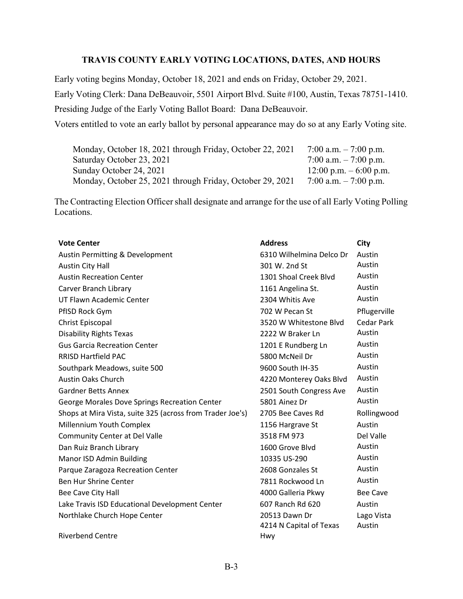## TRAVIS COUNTY EARLY VOTING LOCATIONS, DATES, AND HOURS

Early voting begins Monday, October 18, 2021 and ends on Friday, October 29, 2021. Early Voting Clerk: Dana DeBeauvoir, 5501 Airport Blvd. Suite #100, Austin, Texas 78751-1410. Presiding Judge of the Early Voting Ballot Board: Dana DeBeauvoir. Voters entitled to vote an early ballot by personal appearance may do so at any Early Voting site.

| Monday, October 18, 2021 through Friday, October 22, 2021 | 7:00 a.m. $-7:00$ p.m.    |
|-----------------------------------------------------------|---------------------------|
| Saturday October 23, 2021                                 | 7:00 a.m. $-7:00$ p.m.    |
| Sunday October 24, 2021                                   | $12:00$ p.m. $-6:00$ p.m. |
| Monday, October 25, 2021 through Friday, October 29, 2021 | 7:00 a.m. $-7:00$ p.m.    |

The Contracting Election Officer shall designate and arrange for the use of all Early Voting Polling Locations.

| <b>Vote Center</b>                                        | <b>Address</b>           | <b>City</b>     |
|-----------------------------------------------------------|--------------------------|-----------------|
| Austin Permitting & Development                           | 6310 Wilhelmina Delco Dr | Austin          |
| <b>Austin City Hall</b>                                   | 301 W. 2nd St            | Austin          |
| <b>Austin Recreation Center</b>                           | 1301 Shoal Creek Blvd    | Austin          |
| Carver Branch Library                                     | 1161 Angelina St.        | Austin          |
| UT Flawn Academic Center                                  | 2304 Whitis Ave          | Austin          |
| PfISD Rock Gym                                            | 702 W Pecan St           | Pflugerville    |
| <b>Christ Episcopal</b>                                   | 3520 W Whitestone Blvd   | Cedar Park      |
| <b>Disability Rights Texas</b>                            | 2222 W Braker Ln         | Austin          |
| <b>Gus Garcia Recreation Center</b>                       | 1201 E Rundberg Ln       | Austin          |
| <b>RRISD Hartfield PAC</b>                                | 5800 McNeil Dr           | Austin          |
| Southpark Meadows, suite 500                              | 9600 South IH-35         | Austin          |
| <b>Austin Oaks Church</b>                                 | 4220 Monterey Oaks Blvd  | Austin          |
| <b>Gardner Betts Annex</b>                                | 2501 South Congress Ave  | Austin          |
| George Morales Dove Springs Recreation Center             | 5801 Ainez Dr            | Austin          |
| Shops at Mira Vista, suite 325 (across from Trader Joe's) | 2705 Bee Caves Rd        | Rollingwood     |
| Millennium Youth Complex                                  | 1156 Hargrave St         | Austin          |
| <b>Community Center at Del Valle</b>                      | 3518 FM 973              | Del Valle       |
| Dan Ruiz Branch Library                                   | 1600 Grove Blvd          | Austin          |
| Manor ISD Admin Building                                  | 10335 US-290             | Austin          |
| Parque Zaragoza Recreation Center                         | 2608 Gonzales St         | Austin          |
| Ben Hur Shrine Center                                     | 7811 Rockwood Ln         | Austin          |
| Bee Cave City Hall                                        | 4000 Galleria Pkwy       | <b>Bee Cave</b> |
| Lake Travis ISD Educational Development Center            | 607 Ranch Rd 620         | Austin          |
| Northlake Church Hope Center                              | 20513 Dawn Dr            | Lago Vista      |
|                                                           | 4214 N Capital of Texas  | Austin          |
| <b>Riverbend Centre</b>                                   | Hwy                      |                 |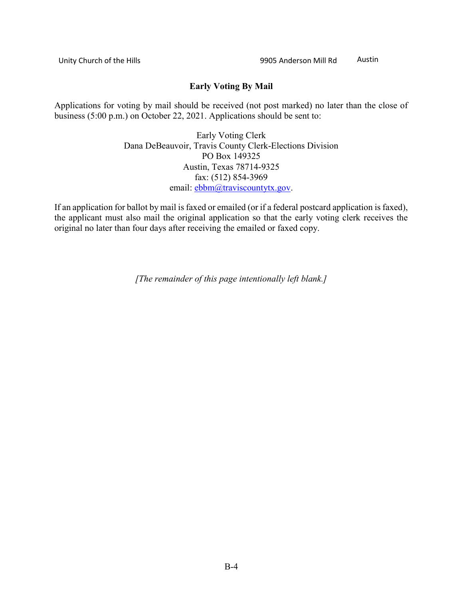## Early Voting By Mail

Applications for voting by mail should be received (not post marked) no later than the close of business (5:00 p.m.) on October 22, 2021. Applications should be sent to:

> Early Voting Clerk Dana DeBeauvoir, Travis County Clerk-Elections Division PO Box 149325 Austin, Texas 78714-9325 fax: (512) 854-3969 email: ebbm@traviscountytx.gov.

If an application for ballot by mail is faxed or emailed (or if a federal postcard application is faxed), the applicant must also mail the original application so that the early voting clerk receives the original no later than four days after receiving the emailed or faxed copy.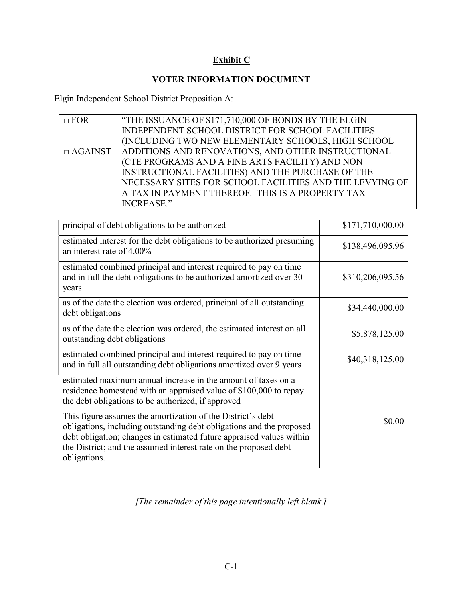# Exhibit C

## VOTER INFORMATION DOCUMENT

Elgin Independent School District Proposition A:

| $\Box$ FOR     | "THE ISSUANCE OF \$171,710,000 OF BONDS BY THE ELGIN     |
|----------------|----------------------------------------------------------|
|                | INDEPENDENT SCHOOL DISTRICT FOR SCHOOL FACILITIES        |
|                | (INCLUDING TWO NEW ELEMENTARY SCHOOLS, HIGH SCHOOL       |
| $\Box$ AGAINST | ADDITIONS AND RENOVATIONS, AND OTHER INSTRUCTIONAL       |
|                | (CTE PROGRAMS AND A FINE ARTS FACILITY) AND NON          |
|                | INSTRUCTIONAL FACILITIES) AND THE PURCHASE OF THE        |
|                | NECESSARY SITES FOR SCHOOL FACILITIES AND THE LEVYING OF |
|                | A TAX IN PAYMENT THEREOF. THIS IS A PROPERTY TAX         |
|                | <b>INCREASE."</b>                                        |

| principal of debt obligations to be authorized                                                                                                                                                                                                                                                  | \$171,710,000.00 |
|-------------------------------------------------------------------------------------------------------------------------------------------------------------------------------------------------------------------------------------------------------------------------------------------------|------------------|
| estimated interest for the debt obligations to be authorized presuming<br>an interest rate of $4.00\%$                                                                                                                                                                                          | \$138,496,095.96 |
| estimated combined principal and interest required to pay on time<br>and in full the debt obligations to be authorized amortized over 30<br>years                                                                                                                                               | \$310,206,095.56 |
| as of the date the election was ordered, principal of all outstanding<br>debt obligations                                                                                                                                                                                                       | \$34,440,000.00  |
| as of the date the election was ordered, the estimated interest on all<br>outstanding debt obligations                                                                                                                                                                                          | \$5,878,125.00   |
| estimated combined principal and interest required to pay on time<br>and in full all outstanding debt obligations amortized over 9 years                                                                                                                                                        | \$40,318,125.00  |
| estimated maximum annual increase in the amount of taxes on a<br>residence homestead with an appraised value of \$100,000 to repay<br>the debt obligations to be authorized, if approved                                                                                                        |                  |
| This figure assumes the amortization of the District's debt<br>obligations, including outstanding debt obligations and the proposed<br>debt obligation; changes in estimated future appraised values within<br>the District; and the assumed interest rate on the proposed debt<br>obligations. | \$0.00           |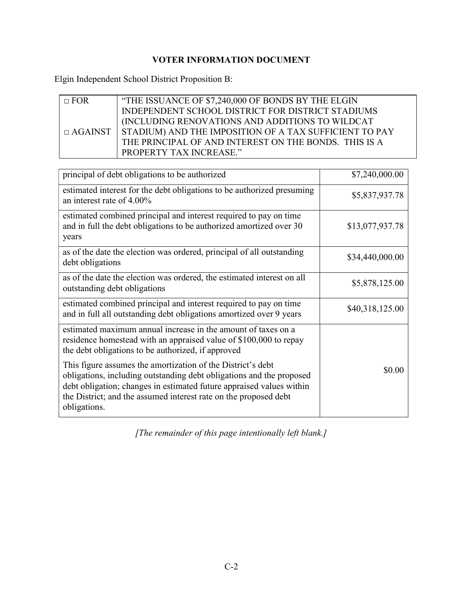# VOTER INFORMATION DOCUMENT

Elgin Independent School District Proposition B:

| $\Box$ FOR | "THE ISSUANCE OF \$7,240,000 OF BONDS BY THE ELGIN                    |
|------------|-----------------------------------------------------------------------|
|            | INDEPENDENT SCHOOL DISTRICT FOR DISTRICT STADIUMS                     |
|            | (INCLUDING RENOVATIONS AND ADDITIONS TO WILDCAT                       |
|            | $\Box$ AGAINST STADIUM) AND THE IMPOSITION OF A TAX SUFFICIENT TO PAY |
|            | THE PRINCIPAL OF AND INTEREST ON THE BONDS. THIS IS A                 |
|            | <b>PROPERTY TAX INCREASE."</b>                                        |

| principal of debt obligations to be authorized                                                                                                                                                                                                                                                  | \$7,240,000.00  |
|-------------------------------------------------------------------------------------------------------------------------------------------------------------------------------------------------------------------------------------------------------------------------------------------------|-----------------|
| estimated interest for the debt obligations to be authorized presuming<br>an interest rate of $4.00\%$                                                                                                                                                                                          | \$5,837,937.78  |
| estimated combined principal and interest required to pay on time<br>and in full the debt obligations to be authorized amortized over 30<br>years                                                                                                                                               | \$13,077,937.78 |
| as of the date the election was ordered, principal of all outstanding<br>debt obligations                                                                                                                                                                                                       | \$34,440,000.00 |
| as of the date the election was ordered, the estimated interest on all<br>outstanding debt obligations                                                                                                                                                                                          | \$5,878,125.00  |
| estimated combined principal and interest required to pay on time<br>and in full all outstanding debt obligations amortized over 9 years                                                                                                                                                        | \$40,318,125.00 |
| estimated maximum annual increase in the amount of taxes on a<br>residence homestead with an appraised value of \$100,000 to repay<br>the debt obligations to be authorized, if approved                                                                                                        |                 |
| This figure assumes the amortization of the District's debt<br>obligations, including outstanding debt obligations and the proposed<br>debt obligation; changes in estimated future appraised values within<br>the District; and the assumed interest rate on the proposed debt<br>obligations. | \$0.00          |